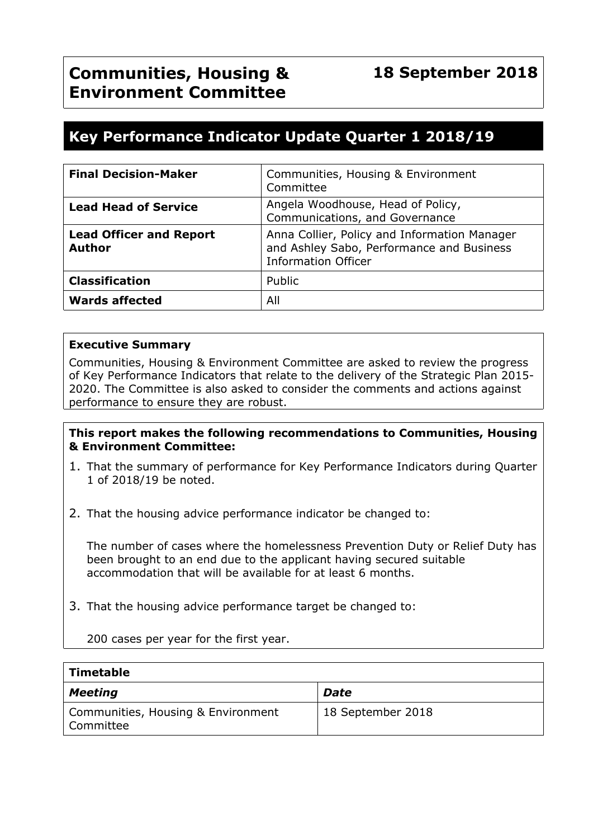# **Key Performance Indicator Update Quarter 1 2018/19**

| <b>Final Decision-Maker</b>                     | Communities, Housing & Environment<br>Committee                                                                         |
|-------------------------------------------------|-------------------------------------------------------------------------------------------------------------------------|
| <b>Lead Head of Service</b>                     | Angela Woodhouse, Head of Policy,<br>Communications, and Governance                                                     |
| <b>Lead Officer and Report</b><br><b>Author</b> | Anna Collier, Policy and Information Manager<br>and Ashley Sabo, Performance and Business<br><b>Information Officer</b> |
| <b>Classification</b>                           | Public                                                                                                                  |
| <b>Wards affected</b>                           | All                                                                                                                     |

#### **Executive Summary**

Communities, Housing & Environment Committee are asked to review the progress of Key Performance Indicators that relate to the delivery of the Strategic Plan 2015- 2020. The Committee is also asked to consider the comments and actions against performance to ensure they are robust.

#### **This report makes the following recommendations to Communities, Housing & Environment Committee:**

- 1. That the summary of performance for Key Performance Indicators during Quarter 1 of 2018/19 be noted.
- 2. That the housing advice performance indicator be changed to:

The number of cases where the homelessness Prevention Duty or Relief Duty has been brought to an end due to the applicant having secured suitable accommodation that will be available for at least 6 months.

3. That the housing advice performance target be changed to:

200 cases per year for the first year.

| Timetable                                       |                   |
|-------------------------------------------------|-------------------|
| <b>Meeting</b>                                  | Date              |
| Communities, Housing & Environment<br>Committee | 18 September 2018 |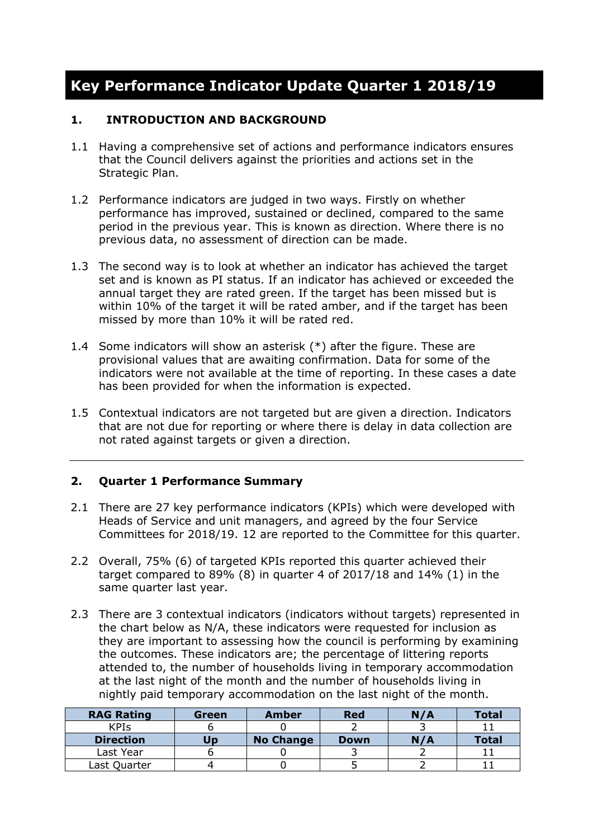# **Key Performance Indicator Update Quarter 1 2018/19**

### **1. INTRODUCTION AND BACKGROUND**

- 1.1 Having a comprehensive set of actions and performance indicators ensures that the Council delivers against the priorities and actions set in the Strategic Plan.
- 1.2 Performance indicators are judged in two ways. Firstly on whether performance has improved, sustained or declined, compared to the same period in the previous year. This is known as direction. Where there is no previous data, no assessment of direction can be made.
- 1.3 The second way is to look at whether an indicator has achieved the target set and is known as PI status. If an indicator has achieved or exceeded the annual target they are rated green. If the target has been missed but is within 10% of the target it will be rated amber, and if the target has been missed by more than 10% it will be rated red.
- 1.4 Some indicators will show an asterisk (\*) after the figure. These are provisional values that are awaiting confirmation. Data for some of the indicators were not available at the time of reporting. In these cases a date has been provided for when the information is expected.
- 1.5 Contextual indicators are not targeted but are given a direction. Indicators that are not due for reporting or where there is delay in data collection are not rated against targets or given a direction.

# **2. Quarter 1 Performance Summary**

- 2.1 There are 27 key performance indicators (KPIs) which were developed with Heads of Service and unit managers, and agreed by the four Service Committees for 2018/19. 12 are reported to the Committee for this quarter.
- 2.2 Overall, 75% (6) of targeted KPIs reported this quarter achieved their target compared to 89% (8) in quarter 4 of 2017/18 and 14% (1) in the same quarter last year.
- 2.3 There are 3 contextual indicators (indicators without targets) represented in the chart below as N/A, these indicators were requested for inclusion as they are important to assessing how the council is performing by examining the outcomes. These indicators are; the percentage of littering reports attended to, the number of households living in temporary accommodation at the last night of the month and the number of households living in nightly paid temporary accommodation on the last night of the month.

| <b>RAG Rating</b> | Green | <b>Amber</b>     | <b>Red</b>  | N/A | <b>Total</b> |
|-------------------|-------|------------------|-------------|-----|--------------|
| <b>KPIS</b>       |       |                  |             |     |              |
| <b>Direction</b>  | Jɒ    | <b>No Change</b> | <b>Down</b> | N/A | <b>Total</b> |
| Last Year         |       |                  |             |     |              |
| Last Quarter      |       |                  |             |     |              |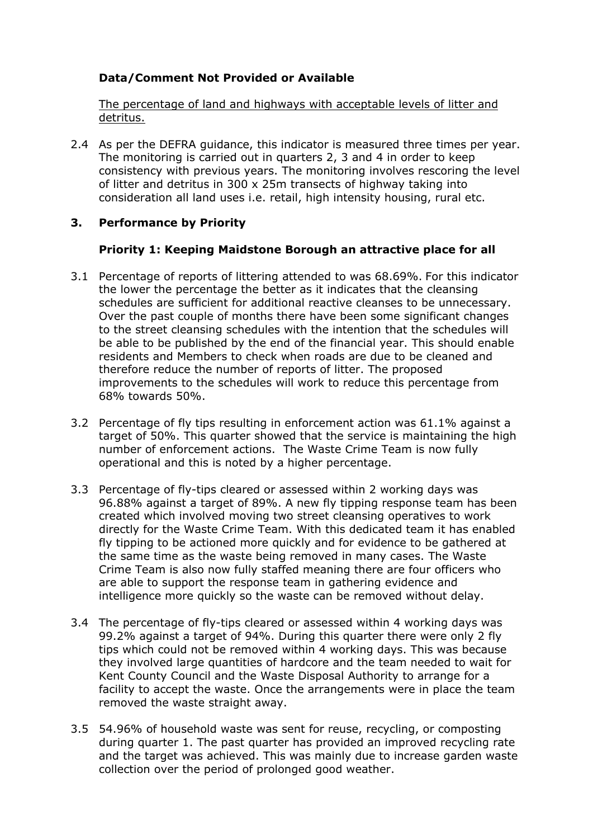# **Data/Comment Not Provided or Available**

The percentage of land and highways with acceptable levels of litter and detritus.

2.4 As per the DEFRA guidance, this indicator is measured three times per year. The monitoring is carried out in quarters 2, 3 and 4 in order to keep consistency with previous years. The monitoring involves rescoring the level of litter and detritus in 300 x 25m transects of highway taking into consideration all land uses i.e. retail, high intensity housing, rural etc.

# **3. Performance by Priority**

## **Priority 1: Keeping Maidstone Borough an attractive place for all**

- 3.1 Percentage of reports of littering attended to was 68.69%. For this indicator the lower the percentage the better as it indicates that the cleansing schedules are sufficient for additional reactive cleanses to be unnecessary. Over the past couple of months there have been some significant changes to the street cleansing schedules with the intention that the schedules will be able to be published by the end of the financial year. This should enable residents and Members to check when roads are due to be cleaned and therefore reduce the number of reports of litter. The proposed improvements to the schedules will work to reduce this percentage from 68% towards 50%.
- 3.2 Percentage of fly tips resulting in enforcement action was 61.1% against a target of 50%. This quarter showed that the service is maintaining the high number of enforcement actions. The Waste Crime Team is now fully operational and this is noted by a higher percentage.
- 3.3 Percentage of fly-tips cleared or assessed within 2 working days was 96.88% against a target of 89%. A new fly tipping response team has been created which involved moving two street cleansing operatives to work directly for the Waste Crime Team. With this dedicated team it has enabled fly tipping to be actioned more quickly and for evidence to be gathered at the same time as the waste being removed in many cases. The Waste Crime Team is also now fully staffed meaning there are four officers who are able to support the response team in gathering evidence and intelligence more quickly so the waste can be removed without delay.
- 3.4 The percentage of fly-tips cleared or assessed within 4 working days was 99.2% against a target of 94%. During this quarter there were only 2 fly tips which could not be removed within 4 working days. This was because they involved large quantities of hardcore and the team needed to wait for Kent County Council and the Waste Disposal Authority to arrange for a facility to accept the waste. Once the arrangements were in place the team removed the waste straight away.
- 3.5 54.96% of household waste was sent for reuse, recycling, or composting during quarter 1. The past quarter has provided an improved recycling rate and the target was achieved. This was mainly due to increase garden waste collection over the period of prolonged good weather.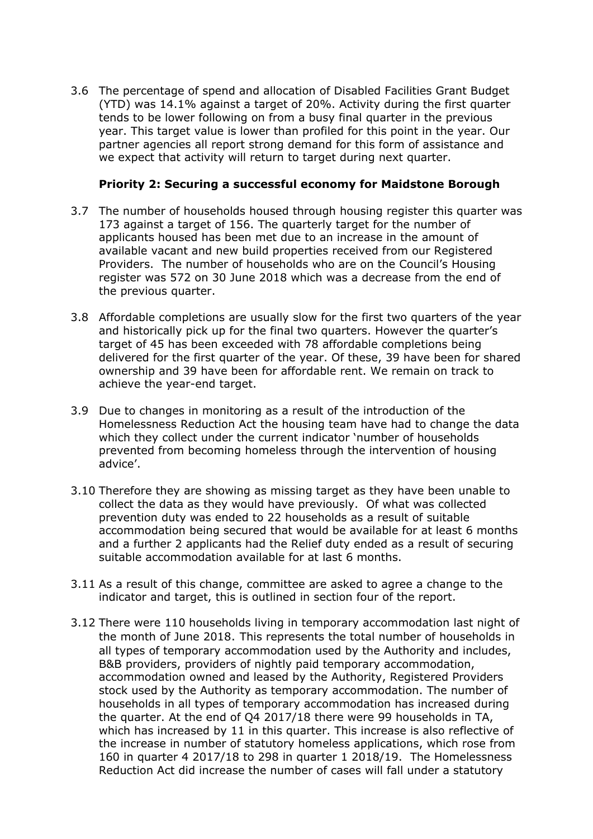3.6 The percentage of spend and allocation of Disabled Facilities Grant Budget (YTD) was 14.1% against a target of 20%. Activity during the first quarter tends to be lower following on from a busy final quarter in the previous year. This target value is lower than profiled for this point in the year. Our partner agencies all report strong demand for this form of assistance and we expect that activity will return to target during next quarter.

#### **Priority 2: Securing a successful economy for Maidstone Borough**

- 3.7 The number of households housed through housing register this quarter was 173 against a target of 156. The quarterly target for the number of applicants housed has been met due to an increase in the amount of available vacant and new build properties received from our Registered Providers. The number of households who are on the Council's Housing register was 572 on 30 June 2018 which was a decrease from the end of the previous quarter.
- 3.8 Affordable completions are usually slow for the first two quarters of the year and historically pick up for the final two quarters. However the quarter's target of 45 has been exceeded with 78 affordable completions being delivered for the first quarter of the year. Of these, 39 have been for shared ownership and 39 have been for affordable rent. We remain on track to achieve the year-end target.
- 3.9 Due to changes in monitoring as a result of the introduction of the Homelessness Reduction Act the housing team have had to change the data which they collect under the current indicator 'number of households prevented from becoming homeless through the intervention of housing advice'.
- 3.10 Therefore they are showing as missing target as they have been unable to collect the data as they would have previously. Of what was collected prevention duty was ended to 22 households as a result of suitable accommodation being secured that would be available for at least 6 months and a further 2 applicants had the Relief duty ended as a result of securing suitable accommodation available for at last 6 months.
- 3.11 As a result of this change, committee are asked to agree a change to the indicator and target, this is outlined in section four of the report.
- 3.12 There were 110 households living in temporary accommodation last night of the month of June 2018. This represents the total number of households in all types of temporary accommodation used by the Authority and includes, B&B providers, providers of nightly paid temporary accommodation, accommodation owned and leased by the Authority, Registered Providers stock used by the Authority as temporary accommodation. The number of households in all types of temporary accommodation has increased during the quarter. At the end of Q4 2017/18 there were 99 households in TA, which has increased by 11 in this quarter. This increase is also reflective of the increase in number of statutory homeless applications, which rose from 160 in quarter 4 2017/18 to 298 in quarter 1 2018/19. The Homelessness Reduction Act did increase the number of cases will fall under a statutory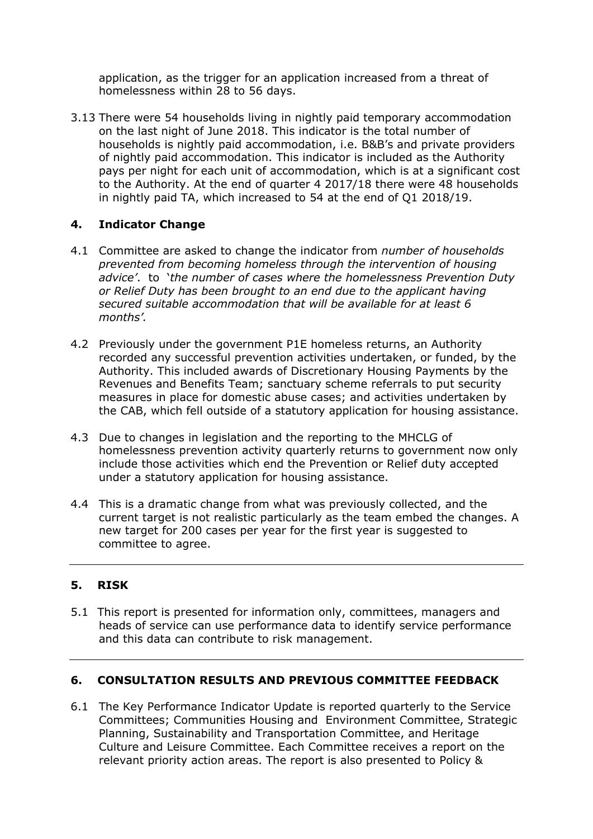application, as the trigger for an application increased from a threat of homelessness within 28 to 56 days.

3.13 There were 54 households living in nightly paid temporary accommodation on the last night of June 2018. This indicator is the total number of households is nightly paid accommodation, i.e. B&B's and private providers of nightly paid accommodation. This indicator is included as the Authority pays per night for each unit of accommodation, which is at a significant cost to the Authority. At the end of quarter 4 2017/18 there were 48 households in nightly paid TA, which increased to 54 at the end of Q1 2018/19.

# **4. Indicator Change**

- 4.1 Committee are asked to change the indicator from *number of households prevented from becoming homeless through the intervention of housing advice'*. to '*the number of cases where the homelessness Prevention Duty or Relief Duty has been brought to an end due to the applicant having secured suitable accommodation that will be available for at least 6 months'.*
- 4.2 Previously under the government P1E homeless returns, an Authority recorded any successful prevention activities undertaken, or funded, by the Authority. This included awards of Discretionary Housing Payments by the Revenues and Benefits Team; sanctuary scheme referrals to put security measures in place for domestic abuse cases; and activities undertaken by the CAB, which fell outside of a statutory application for housing assistance.
- 4.3 Due to changes in legislation and the reporting to the MHCLG of homelessness prevention activity quarterly returns to government now only include those activities which end the Prevention or Relief duty accepted under a statutory application for housing assistance.
- 4.4 This is a dramatic change from what was previously collected, and the current target is not realistic particularly as the team embed the changes. A new target for 200 cases per year for the first year is suggested to committee to agree.

# **5. RISK**

5.1 This report is presented for information only, committees, managers and heads of service can use performance data to identify service performance and this data can contribute to risk management.

#### **6. CONSULTATION RESULTS AND PREVIOUS COMMITTEE FEEDBACK**

6.1 The Key Performance Indicator Update is reported quarterly to the Service Committees; Communities Housing and Environment Committee, Strategic Planning, Sustainability and Transportation Committee, and Heritage Culture and Leisure Committee. Each Committee receives a report on the relevant priority action areas. The report is also presented to Policy &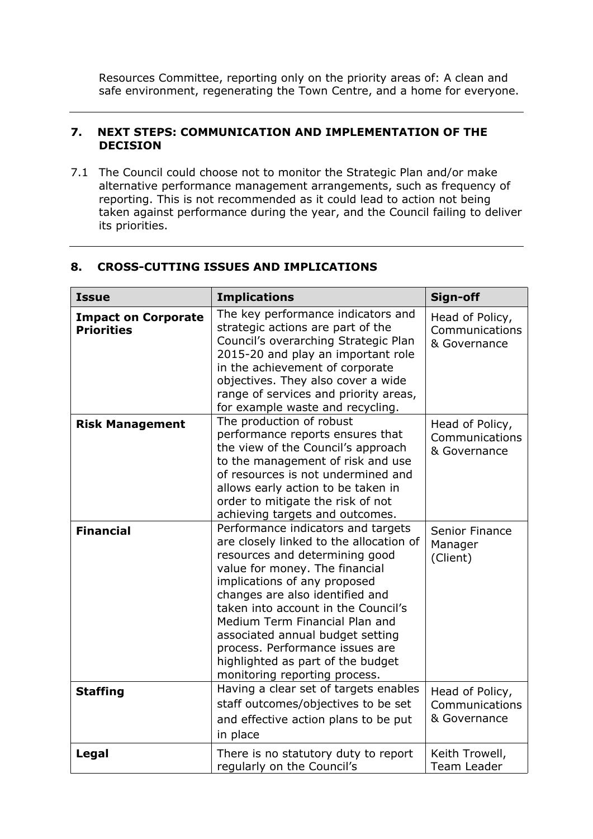Resources Committee, reporting only on the priority areas of: A clean and safe environment, regenerating the Town Centre, and a home for everyone.

#### **7. NEXT STEPS: COMMUNICATION AND IMPLEMENTATION OF THE DECISION**

7.1 The Council could choose not to monitor the Strategic Plan and/or make alternative performance management arrangements, such as frequency of reporting. This is not recommended as it could lead to action not being taken against performance during the year, and the Council failing to deliver its priorities.

| <b>Issue</b>                                    | <b>Implications</b>                                                                                                                                                                                                                                                                                                                                                                                                                        | Sign-off                                          |
|-------------------------------------------------|--------------------------------------------------------------------------------------------------------------------------------------------------------------------------------------------------------------------------------------------------------------------------------------------------------------------------------------------------------------------------------------------------------------------------------------------|---------------------------------------------------|
| <b>Impact on Corporate</b><br><b>Priorities</b> | The key performance indicators and<br>strategic actions are part of the<br>Council's overarching Strategic Plan<br>2015-20 and play an important role<br>in the achievement of corporate<br>objectives. They also cover a wide<br>range of services and priority areas,<br>for example waste and recycling.                                                                                                                                | Head of Policy,<br>Communications<br>& Governance |
| <b>Risk Management</b>                          | The production of robust<br>performance reports ensures that<br>the view of the Council's approach<br>to the management of risk and use<br>of resources is not undermined and<br>allows early action to be taken in<br>order to mitigate the risk of not<br>achieving targets and outcomes.                                                                                                                                                | Head of Policy,<br>Communications<br>& Governance |
| <b>Financial</b>                                | Performance indicators and targets<br>are closely linked to the allocation of<br>resources and determining good<br>value for money. The financial<br>implications of any proposed<br>changes are also identified and<br>taken into account in the Council's<br>Medium Term Financial Plan and<br>associated annual budget setting<br>process. Performance issues are<br>highlighted as part of the budget<br>monitoring reporting process. | Senior Finance<br>Manager<br>(Client)             |
| <b>Staffing</b>                                 | Having a clear set of targets enables<br>staff outcomes/objectives to be set<br>and effective action plans to be put<br>in place                                                                                                                                                                                                                                                                                                           | Head of Policy,<br>Communications<br>& Governance |
| Legal                                           | There is no statutory duty to report<br>regularly on the Council's                                                                                                                                                                                                                                                                                                                                                                         | Keith Trowell,<br>Team Leader                     |

#### **8. CROSS-CUTTING ISSUES AND IMPLICATIONS**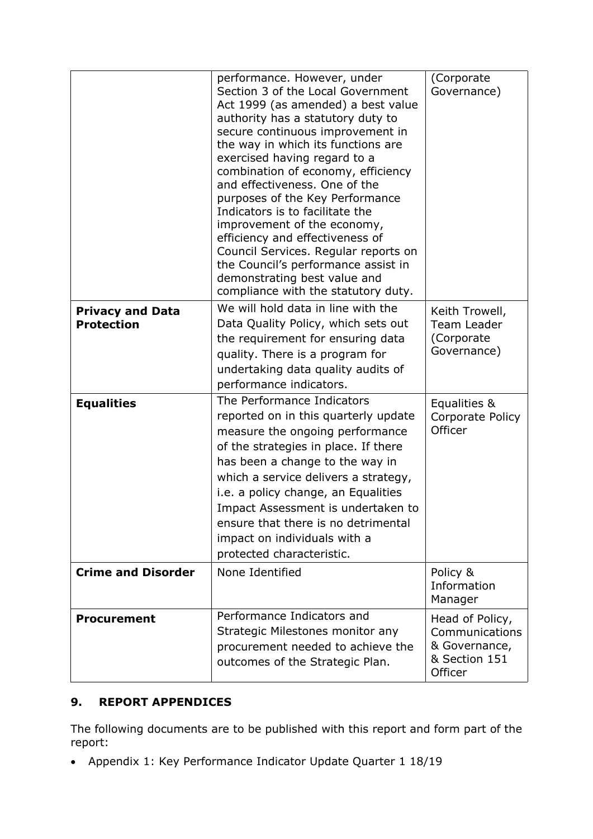|                                              | performance. However, under<br>Section 3 of the Local Government<br>Act 1999 (as amended) a best value<br>authority has a statutory duty to<br>secure continuous improvement in<br>the way in which its functions are<br>exercised having regard to a<br>combination of economy, efficiency<br>and effectiveness. One of the<br>purposes of the Key Performance<br>Indicators is to facilitate the<br>improvement of the economy,<br>efficiency and effectiveness of<br>Council Services. Regular reports on<br>the Council's performance assist in<br>demonstrating best value and<br>compliance with the statutory duty. | (Corporate<br>Governance)                                                      |
|----------------------------------------------|----------------------------------------------------------------------------------------------------------------------------------------------------------------------------------------------------------------------------------------------------------------------------------------------------------------------------------------------------------------------------------------------------------------------------------------------------------------------------------------------------------------------------------------------------------------------------------------------------------------------------|--------------------------------------------------------------------------------|
| <b>Privacy and Data</b><br><b>Protection</b> | We will hold data in line with the<br>Data Quality Policy, which sets out<br>the requirement for ensuring data<br>quality. There is a program for<br>undertaking data quality audits of<br>performance indicators.                                                                                                                                                                                                                                                                                                                                                                                                         | Keith Trowell,<br>Team Leader<br>(Corporate)<br>Governance)                    |
| <b>Equalities</b>                            | The Performance Indicators<br>reported on in this quarterly update<br>measure the ongoing performance<br>of the strategies in place. If there<br>has been a change to the way in<br>which a service delivers a strategy,<br>i.e. a policy change, an Equalities<br>Impact Assessment is undertaken to<br>ensure that there is no detrimental<br>impact on individuals with a<br>protected characteristic.                                                                                                                                                                                                                  | Equalities &<br>Corporate Policy<br>Officer                                    |
| <b>Crime and Disorder</b>                    | None Identified                                                                                                                                                                                                                                                                                                                                                                                                                                                                                                                                                                                                            | Policy &<br>Information<br>Manager                                             |
| <b>Procurement</b>                           | Performance Indicators and<br>Strategic Milestones monitor any<br>procurement needed to achieve the<br>outcomes of the Strategic Plan.                                                                                                                                                                                                                                                                                                                                                                                                                                                                                     | Head of Policy,<br>Communications<br>& Governance,<br>& Section 151<br>Officer |

# **9. REPORT APPENDICES**

The following documents are to be published with this report and form part of the report:

Appendix 1: Key Performance Indicator Update Quarter 1 18/19